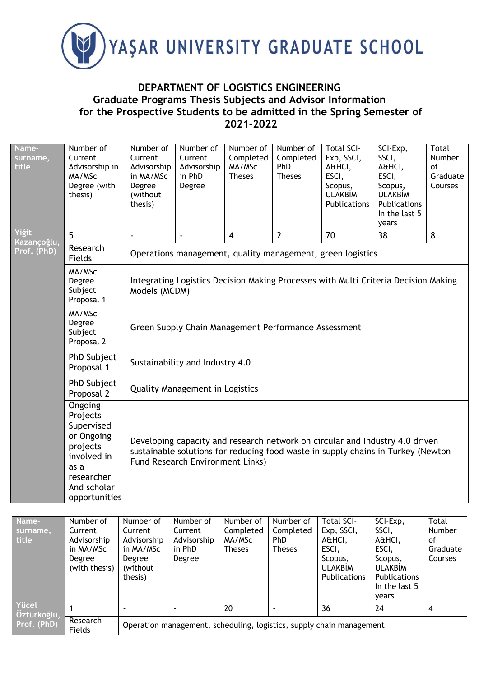

## **DEPARTMENT OF LOGISTICS ENGINEERING Graduate Programs Thesis Subjects and Advisor Information for the Prospective Students to be admitted in the Spring Semester of 2021-2022**

| Name-<br>surname,<br>title | Number of<br>Current<br>Advisorship in<br>MA/MSc<br>Degree (with<br>thesis)                                                      | Number of<br>Current<br>Advisorship<br>in MA/MSc<br>Degree<br>(without<br>thesis)                                                                                                                           | Number of<br>Current<br>Advisorship<br>in PhD<br>Degree | Number of<br>Completed<br>MA/MSc<br><b>Theses</b> | Number of<br>Completed<br><b>PhD</b><br><b>Theses</b> | <b>Total SCI-</b><br>Exp, SSCI,<br>A&HCI,<br>ESCI,<br>Scopus,<br><b>ULAKBİM</b><br>Publications | SCI-Exp,<br>SSCI,<br>A&HCI,<br>ESCI,<br>Scopus,<br><b>ULAKBİM</b><br>Publications<br>In the last 5<br>years | Total<br>Number<br>of<br>Graduate<br>Courses |  |  |  |
|----------------------------|----------------------------------------------------------------------------------------------------------------------------------|-------------------------------------------------------------------------------------------------------------------------------------------------------------------------------------------------------------|---------------------------------------------------------|---------------------------------------------------|-------------------------------------------------------|-------------------------------------------------------------------------------------------------|-------------------------------------------------------------------------------------------------------------|----------------------------------------------|--|--|--|
| Yiğit<br>Kazançoğlu,       | 5                                                                                                                                | ÷,                                                                                                                                                                                                          | $\overline{\phantom{a}}$                                | $\overline{4}$                                    | $\overline{2}$                                        | 70                                                                                              | 38                                                                                                          | 8                                            |  |  |  |
| Prof. (PhD)                | Research<br>Fields                                                                                                               | Operations management, quality management, green logistics                                                                                                                                                  |                                                         |                                                   |                                                       |                                                                                                 |                                                                                                             |                                              |  |  |  |
|                            | MA/MSc<br>Degree<br>Subject<br>Proposal 1                                                                                        | Integrating Logistics Decision Making Processes with Multi Criteria Decision Making<br>Models (MCDM)                                                                                                        |                                                         |                                                   |                                                       |                                                                                                 |                                                                                                             |                                              |  |  |  |
|                            | MA/MSc<br>Degree<br>Subject<br>Proposal 2                                                                                        | Green Supply Chain Management Performance Assessment                                                                                                                                                        |                                                         |                                                   |                                                       |                                                                                                 |                                                                                                             |                                              |  |  |  |
|                            | PhD Subject<br>Proposal 1                                                                                                        | Sustainability and Industry 4.0                                                                                                                                                                             |                                                         |                                                   |                                                       |                                                                                                 |                                                                                                             |                                              |  |  |  |
|                            | PhD Subject<br>Proposal 2                                                                                                        | <b>Quality Management in Logistics</b>                                                                                                                                                                      |                                                         |                                                   |                                                       |                                                                                                 |                                                                                                             |                                              |  |  |  |
|                            | Ongoing<br>Projects<br>Supervised<br>or Ongoing<br>projects<br>involved in<br>as a<br>researcher<br>And scholar<br>opportunities | Developing capacity and research network on circular and Industry 4.0 driven<br>sustainable solutions for reducing food waste in supply chains in Turkey (Newton<br><b>Fund Research Environment Links)</b> |                                                         |                                                   |                                                       |                                                                                                 |                                                                                                             |                                              |  |  |  |

| Name-<br>surname,<br>title | Number of<br>Current<br>Advisorship<br>in MA/MSc<br>Degree<br>(with thesis) | Number of<br>Current<br>Advisorship<br>in MA/MSc<br>Degree<br>(without<br>thesis) | Number of<br>Current<br>Advisorship<br>in PhD<br>Degree              | Number of<br>Completed<br>MA/MSc<br><b>Theses</b> | Number of<br>Completed<br><b>PhD</b><br><b>Theses</b> | Total SCI-<br>Exp, SSCI,<br>A&HCI,<br>ESCI,<br>Scopus,<br><b>ULAKBIM</b><br><b>Publications</b> | SCI-Exp,<br>SSCI,<br>A&HCI,<br>ESCI,<br>Scopus,<br><b>ULAKBIM</b><br><b>Publications</b><br>In the last 5<br>years | Total<br>Number<br>οf<br>Graduate<br>Courses |  |  |
|----------------------------|-----------------------------------------------------------------------------|-----------------------------------------------------------------------------------|----------------------------------------------------------------------|---------------------------------------------------|-------------------------------------------------------|-------------------------------------------------------------------------------------------------|--------------------------------------------------------------------------------------------------------------------|----------------------------------------------|--|--|
| Yücel                      |                                                                             |                                                                                   |                                                                      | 20                                                |                                                       | 36                                                                                              | 24                                                                                                                 | 4                                            |  |  |
| Öztürkoğlu,<br>Prof. (PhD) | Research<br>Fields                                                          |                                                                                   | Operation management, scheduling, logistics, supply chain management |                                                   |                                                       |                                                                                                 |                                                                                                                    |                                              |  |  |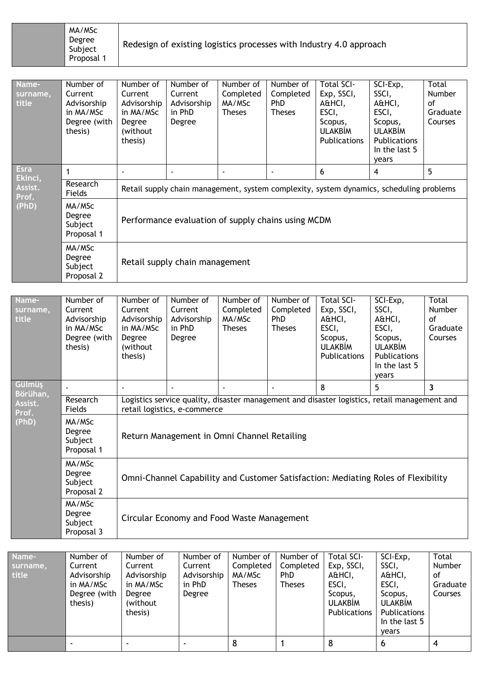| MA/MSc<br>Degree<br>Subject<br>Proposal 1 | Redesign of existing logistics processes with Industry 4.0 approach |
|-------------------------------------------|---------------------------------------------------------------------|
|-------------------------------------------|---------------------------------------------------------------------|

| Name-<br>surname,<br>title                          | Number of<br>Current<br>Advisorship<br>in MA/MSc<br>Degree (with<br>thesis) | Number of<br>Current<br>Advisorship<br>in MA/MSc<br>Degree<br>(without)<br>thesis)      | Number of<br>Current<br>Advisorship<br>in PhD<br>Degree | Number of<br>Completed<br>MA/MSc<br><b>Theses</b> | Number of<br>Completed<br>PhD<br>Theses | <b>Total SCI-</b><br>Exp, SSCI,<br>A&HCI,<br>ESCI,<br>Scopus,<br><b>ULAKBİM</b><br><b>Publications</b> | SCI-Exp,<br>SSCI,<br>A&HCI,<br>ESCI,<br>Scopus,<br><b>ULAKBIM</b><br>Publications<br>In the last 5<br>years | Total<br><b>Number</b><br>οf<br>Graduate<br>Courses |  |  |
|-----------------------------------------------------|-----------------------------------------------------------------------------|-----------------------------------------------------------------------------------------|---------------------------------------------------------|---------------------------------------------------|-----------------------------------------|--------------------------------------------------------------------------------------------------------|-------------------------------------------------------------------------------------------------------------|-----------------------------------------------------|--|--|
| <b>Esra</b><br>Ekinci,<br>Assist.<br>Prof.<br>(PhD) | $\mathbf 1$                                                                 |                                                                                         |                                                         |                                                   | $\blacksquare$                          | 6                                                                                                      | 4                                                                                                           | 5                                                   |  |  |
|                                                     | Research<br>Fields                                                          | Retail supply chain management, system complexity, system dynamics, scheduling problems |                                                         |                                                   |                                         |                                                                                                        |                                                                                                             |                                                     |  |  |
|                                                     | MA/MSc<br>Degree<br>Subject<br>Proposal 1                                   | Performance evaluation of supply chains using MCDM                                      |                                                         |                                                   |                                         |                                                                                                        |                                                                                                             |                                                     |  |  |
|                                                     | MA/MSc<br>Degree<br>Subject<br>Proposal 2                                   | Retail supply chain management                                                          |                                                         |                                                   |                                         |                                                                                                        |                                                                                                             |                                                     |  |  |

| Name-<br>surname,<br>title | Number of<br>Current<br>Advisorship<br>in MA/MSc<br>Degree (with<br>thesis) | Number of<br>Current<br>Advisorship<br>in MA/MSc<br>Degree<br>(without)<br>thesis)                                           | Number of<br>Current<br>Advisorship<br>in PhD<br>Degree | Number of<br>Completed<br>MA/MSc<br><b>Theses</b> | Number of<br>Completed<br>PhD<br><b>Theses</b> | <b>Total SCI-</b><br>Exp, SSCI,<br>A&HCI,<br>ESCI,<br>Scopus,<br><b>ULAKBIM</b><br>Publications | SCI-Exp,<br>SSCI,<br>A&HCI,<br>ESCI,<br>Scopus,<br><b>ULAKBIM</b><br>Publications<br>In the last 5<br>years | Total<br><b>Number</b><br>οf<br>Graduate<br>Courses |  |  |
|----------------------------|-----------------------------------------------------------------------------|------------------------------------------------------------------------------------------------------------------------------|---------------------------------------------------------|---------------------------------------------------|------------------------------------------------|-------------------------------------------------------------------------------------------------|-------------------------------------------------------------------------------------------------------------|-----------------------------------------------------|--|--|
| Gülmüş<br>Börühan,         |                                                                             |                                                                                                                              |                                                         |                                                   |                                                | 8                                                                                               | 5.                                                                                                          | 3                                                   |  |  |
| Assist.<br>Prof.           | Research<br>Fields                                                          | Logistics service quality, disaster management and disaster logistics, retail management and<br>retail logistics, e-commerce |                                                         |                                                   |                                                |                                                                                                 |                                                                                                             |                                                     |  |  |
| (PhD)                      | MA/MSc<br>Degree<br>Subject<br>Proposal 1                                   | Return Management in Omni Channel Retailing                                                                                  |                                                         |                                                   |                                                |                                                                                                 |                                                                                                             |                                                     |  |  |
|                            | MA/MSc<br>Degree<br>Subject<br>Proposal 2                                   | Omni-Channel Capability and Customer Satisfaction: Mediating Roles of Flexibility                                            |                                                         |                                                   |                                                |                                                                                                 |                                                                                                             |                                                     |  |  |
|                            | MA/MSc<br>Degree<br>Subject<br>Proposal 3                                   | Circular Economy and Food Waste Management                                                                                   |                                                         |                                                   |                                                |                                                                                                 |                                                                                                             |                                                     |  |  |

| Name-<br>surname,<br>title | Number of<br>Current<br>Advisorship<br>in MA/MSc | Number of<br>Current<br>Advisorship<br>in MA/MSc | Number of<br>Current<br>Advisorship<br>in PhD | Number of<br>Completed<br>MA/MSc<br><b>Theses</b> | Number of<br>Completed<br><b>PhD</b><br><b>Theses</b> | <b>Total SCI-</b><br>Exp, SSCI,<br>A&HCI,<br>ESCI, | SCI-Exp,<br>SSCI,<br>A&HCI,<br>ESCI,                                | <b>Total</b><br>Number<br>οf<br>Graduate |
|----------------------------|--------------------------------------------------|--------------------------------------------------|-----------------------------------------------|---------------------------------------------------|-------------------------------------------------------|----------------------------------------------------|---------------------------------------------------------------------|------------------------------------------|
|                            | Degree (with<br>thesis)                          | Degree<br>(without)<br>thesis)                   | Degree                                        |                                                   |                                                       | Scopus,<br><b>ULAKBIM</b><br>Publications          | Scopus,<br><b>ULAKBIM</b><br>Publications<br>In the last 5<br>vears | <b>Courses</b>                           |
|                            |                                                  |                                                  | ۰                                             | 8                                                 |                                                       | 8                                                  | 6                                                                   |                                          |